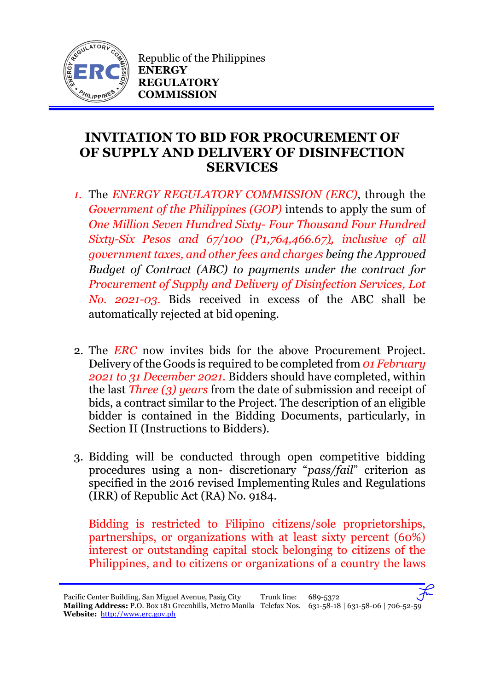

Republic of the Philippines **ENERGY REGULATORY COMMISSION**

## **INVITATION TO BID FOR PROCUREMENT OF OF SUPPLY AND DELIVERY OF DISINFECTION SERVICES**

- *1.* The *ENERGY REGULATORY COMMISSION (ERC)*, through the *Government of the Philippines (GOP)* intends to apply the sum of *One Million Seven Hundred Sixty- Four Thousand Four Hundred Sixty-Six Pesos and 67/100 (P1,764,466.67), inclusive of all government taxes, and other fees and charges being the Approved Budget of Contract (ABC) to payments under the contract for Procurement of Supply and Delivery of Disinfection Services, Lot No. 2021-03.* Bids received in excess of the ABC shall be automatically rejected at bid opening.
- 2. The *ERC* now invites bids for the above Procurement Project. Delivery ofthe Goods is required to be completed from *01 February 2021 to 31 December 2021.* Bidders should have completed, within the last *Three (3) years* from the date of submission and receipt of bids, a contract similar to the Project. The description of an eligible bidder is contained in the Bidding Documents, particularly, in Section II (Instructions to Bidders).
- 3. Bidding will be conducted through open competitive bidding procedures using a non- discretionary "*pass/fail*" criterion as specified in the 2016 revised Implementing Rules and Regulations (IRR) of Republic Act (RA) No. 9184.

Bidding is restricted to Filipino citizens/sole proprietorships, partnerships, or organizations with at least sixty percent (60%) interest or outstanding capital stock belonging to citizens of the Philippines, and to citizens or organizations of a country the laws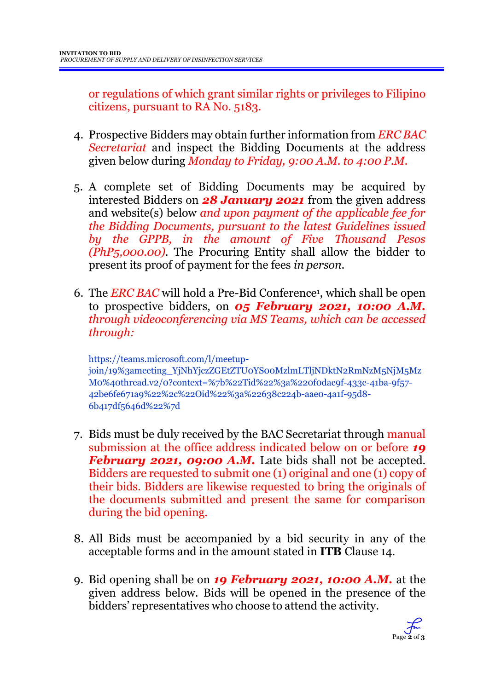or regulations of which grant similar rights or privileges to Filipino citizens, pursuant to RA No. 5183.

- 4. Prospective Bidders may obtain further information from *ERC BAC Secretariat* and inspect the Bidding Documents at the address given below during *Monday to Friday, 9:00 A.M. to 4:00 P.M*.
- 5. A complete set of Bidding Documents may be acquired by interested Bidders on *28 January 2021* from the given address and website(s) below *and upon payment of the applicable fee for the Bidding Documents, pursuant to the latest Guidelines issued by the GPPB, in the amount of Five Thousand Pesos (PhP5,000.00)*. The Procuring Entity shall allow the bidder to present its proof of payment for the fees *in person.*
- 6. The *ERC BAC* will hold a Pre-Bid Conference<sup>1</sup> , which shall be open to prospective bidders, on *05 February 2021, 10:00 A.M. through videoconferencing via MS Teams, which can be accessed through:*

https://teams.microsoft.com/l/meetupjoin/19%3ameeting\_YjNhYjczZGEtZTU0YS00MzlmLTljNDktN2RmNzM5NjM5Mz M0%40thread.v2/0?context=%7b%22Tid%22%3a%220f0dac9f-433c-41ba-9f57- 42be6fe671a9%22%2c%22Oid%22%3a%22638c224b-aae0-4a1f-95d8- 6b417df5646d%22%7d

- 7. Bids must be duly received by the BAC Secretariat through manual submission at the office address indicated below on or before *19 February 2021, 09:00 A.M.* Late bids shall not be accepted. Bidders are requested to submit one (1) original and one (1) copy of their bids. Bidders are likewise requested to bring the originals of the documents submitted and present the same for comparison during the bid opening.
- 8. All Bids must be accompanied by a bid security in any of the acceptable forms and in the amount stated in **ITB** Clause 14.
- 9. Bid opening shall be on *19 February 2021, 10:00 A.M.* at the given address below. Bids will be opened in the presence of the bidders' representatives who choose to attend the activity.